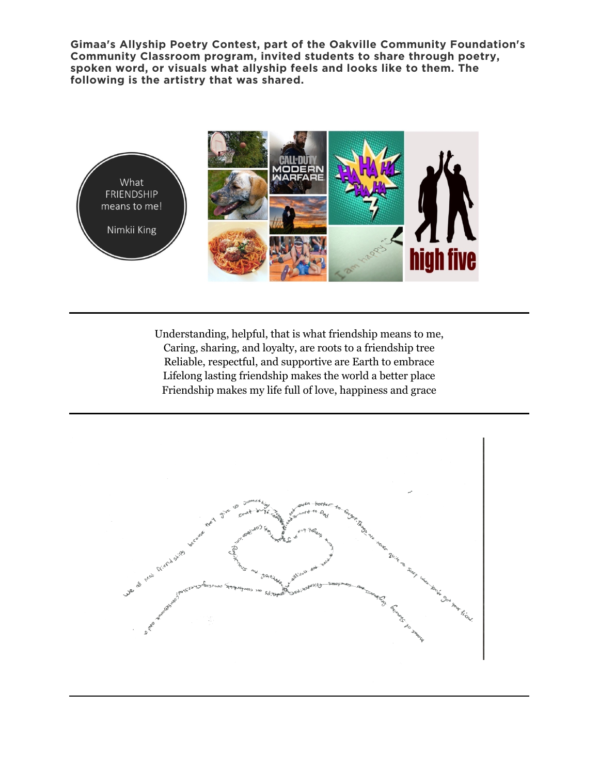**Gimaa's Allyship Poetry Contest, part of the Oakville Community Foundation's Community Classroom program, invited students to share through poetry, spoken word, or visuals what allyship feels and looks like to them. The following is the artistry that was shared.**



Understanding, helpful, that is what friendship means to me, Caring, sharing, and loyalty, are roots to a friendship tree Reliable, respectful, and supportive are Earth to embrace Lifelong lasting friendship makes the world a better place Friendship makes my life full of love, happiness and grace

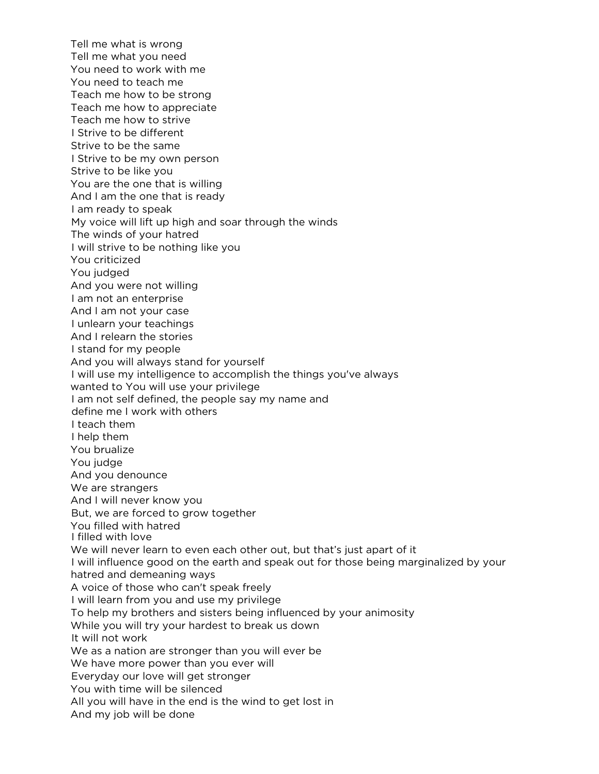Tell me what is wrong Tell me what you need You need to work with me You need to teach me Teach me how to be strong Teach me how to appreciate Teach me how to strive I Strive to be different Strive to be the same I Strive to be my own person Strive to be like you You are the one that is willing And I am the one that is ready I am ready to speak My voice will lift up high and soar through the winds The winds of your hatred I will strive to be nothing like you You criticized You judged And you were not willing I am not an enterprise And I am not your case I unlearn your teachings And I relearn the stories I stand for my people And you will always stand for yourself I will use my intelligence to accomplish the things you've always wanted to You will use your privilege I am not self defined, the people say my name and define me I work with others I teach them I help them You brualize You judge And you denounce We are strangers And I will never know you But, we are forced to grow together You filled with hatred I filled with love We will never learn to even each other out, but that's just apart of it I will influence good on the earth and speak out for those being marginalized by your hatred and demeaning ways A voice of those who can't speak freely I will learn from you and use my privilege To help my brothers and sisters being influenced by your animosity While you will try your hardest to break us down It will not work We as a nation are stronger than you will ever be We have more power than you ever will Everyday our love will get stronger You with time will be silenced All you will have in the end is the wind to get lost in And my job will be done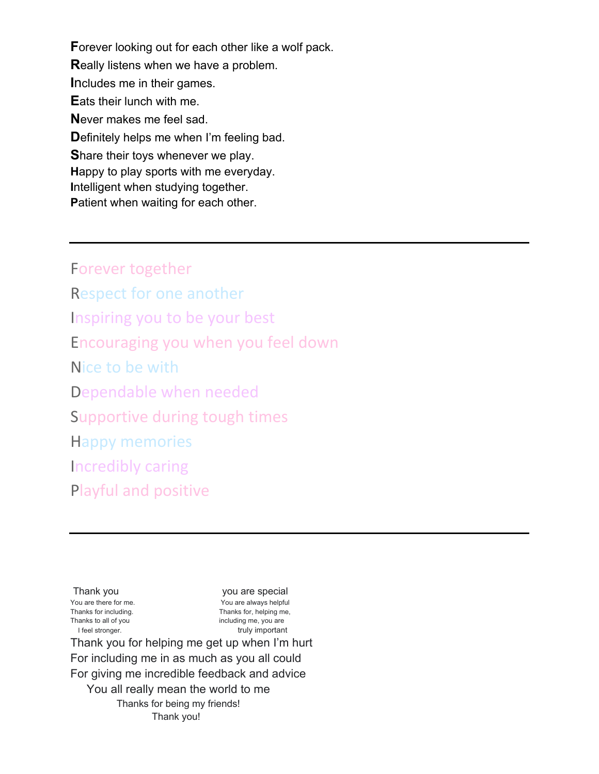**F**orever looking out for each other like a wolf pack. **R**eally listens when we have a problem. **I**ncludes me in their games. **E**ats their lunch with me. **N**ever makes me feel sad. **D**efinitely helps me when I'm feeling bad. **S**hare their toys whenever we play. **H**appy to play sports with me everyday. **I**ntelligent when studying together. **P**atient when waiting for each other.

Forever together Respect for one another Inspiring you to be your best Encouraging you when you feel down Nice to be with Dependable when needed Supportive during tough times Happy memories Incredibly caring Playful and positive

Thank you vou are special You are there for me. The same of the You are always helpful Thanks for including. Thanks for, helping me, Thanks to all of you including me, you are I feel stronger. The struck of the struly important

Thank you for helping me get up when I'm hurt For including me in as much as you all could For giving me incredible feedback and advice You all really mean the world to me Thanks for being my friends! Thank you!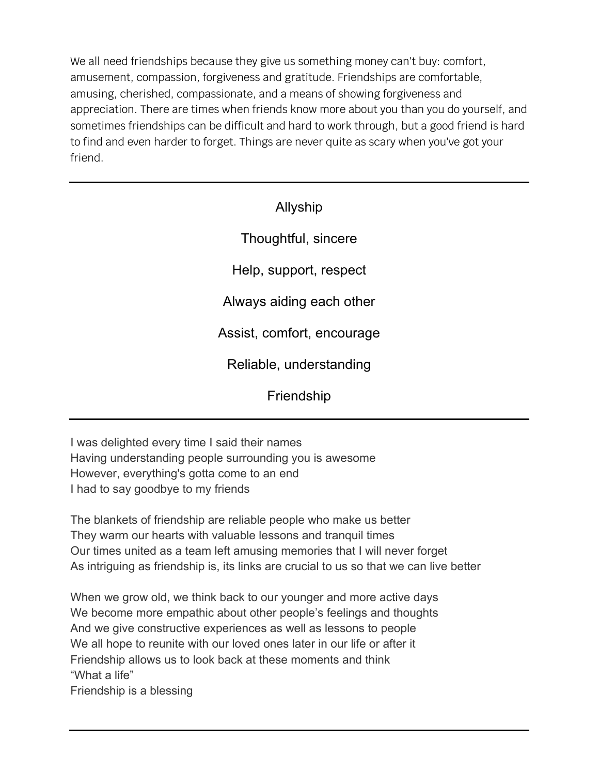We all need friendships because they give us something money can't buy: comfort, amusement, compassion, forgiveness and gratitude. Friendships are comfortable, amusing, cherished, compassionate, and a means of showing forgiveness and appreciation. There are times when friends know more about you than you do yourself, and sometimes friendships can be difficult and hard to work through, but a good friend is hard to find and even harder to forget. Things are never quite as scary when you've got your friend.

## Allyship

Thoughtful, sincere

Help, support, respect

Always aiding each other

Assist, comfort, encourage

Reliable, understanding

Friendship

I was delighted every time I said their names Having understanding people surrounding you is awesome However, everything's gotta come to an end I had to say goodbye to my friends

The blankets of friendship are reliable people who make us better They warm our hearts with valuable lessons and tranquil times Our times united as a team left amusing memories that I will never forget As intriguing as friendship is, its links are crucial to us so that we can live better

When we grow old, we think back to our younger and more active days We become more empathic about other people's feelings and thoughts And we give constructive experiences as well as lessons to people We all hope to reunite with our loved ones later in our life or after it Friendship allows us to look back at these moments and think "What a life"

Friendship is a blessing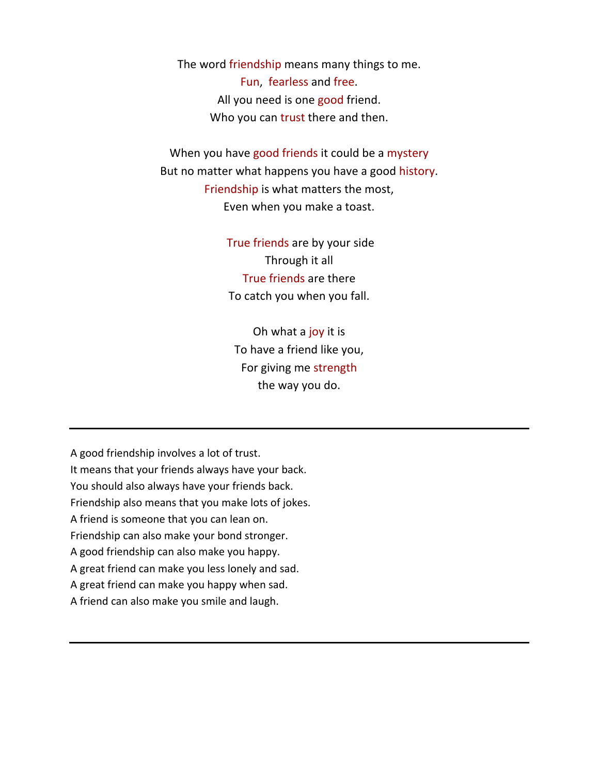The word friendship means many things to me. Fun, fearless and free. All you need is one good friend. Who you can trust there and then.

When you have good friends it could be a mystery But no matter what happens you have a good history. Friendship is what matters the most, Even when you make a toast.

> True friends are by your side Through it all True friends are there To catch you when you fall.

Oh what a joy it is To have a friend like you, For giving me strength the way you do.

A good friendship involves a lot of trust. It means that your friends always have your back. You should also always have your friends back. Friendship also means that you make lots of jokes. A friend is someone that you can lean on. Friendship can also make your bond stronger. A good friendship can also make you happy. A great friend can make you less lonely and sad. A great friend can make you happy when sad. A friend can also make you smile and laugh.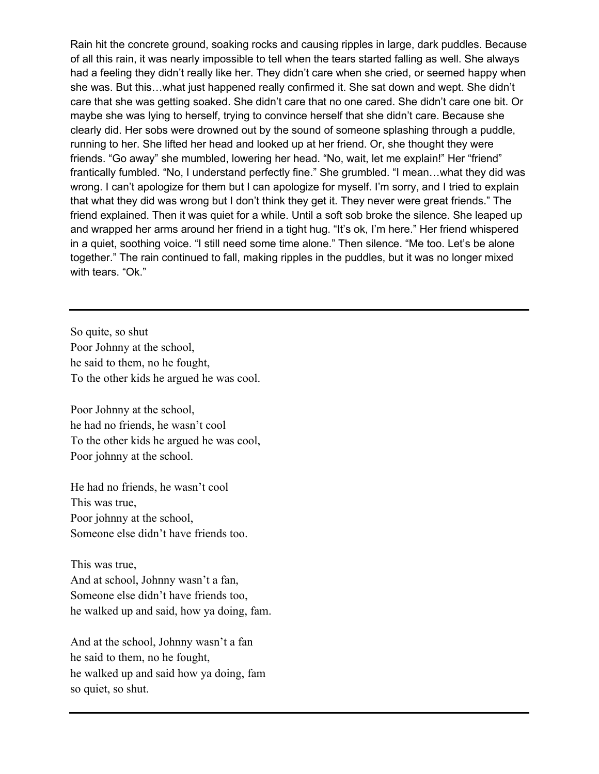Rain hit the concrete ground, soaking rocks and causing ripples in large, dark puddles. Because of all this rain, it was nearly impossible to tell when the tears started falling as well. She always had a feeling they didn't really like her. They didn't care when she cried, or seemed happy when she was. But this…what just happened really confirmed it. She sat down and wept. She didn't care that she was getting soaked. She didn't care that no one cared. She didn't care one bit. Or maybe she was lying to herself, trying to convince herself that she didn't care. Because she clearly did. Her sobs were drowned out by the sound of someone splashing through a puddle, running to her. She lifted her head and looked up at her friend. Or, she thought they were friends. "Go away" she mumbled, lowering her head. "No, wait, let me explain!" Her "friend" frantically fumbled. "No, I understand perfectly fine." She grumbled. "I mean…what they did was wrong. I can't apologize for them but I can apologize for myself. I'm sorry, and I tried to explain that what they did was wrong but I don't think they get it. They never were great friends." The friend explained. Then it was quiet for a while. Until a soft sob broke the silence. She leaped up and wrapped her arms around her friend in a tight hug. "It's ok, I'm here." Her friend whispered in a quiet, soothing voice. "I still need some time alone." Then silence. "Me too. Let's be alone together." The rain continued to fall, making ripples in the puddles, but it was no longer mixed with tears. "Ok."

So quite, so shut Poor Johnny at the school, he said to them, no he fought, To the other kids he argued he was cool.

Poor Johnny at the school, he had no friends, he wasn't cool To the other kids he argued he was cool, Poor johnny at the school.

He had no friends, he wasn't cool This was true, Poor johnny at the school, Someone else didn't have friends too.

This was true, And at school, Johnny wasn't a fan, Someone else didn't have friends too, he walked up and said, how ya doing, fam.

And at the school, Johnny wasn't a fan he said to them, no he fought, he walked up and said how ya doing, fam so quiet, so shut.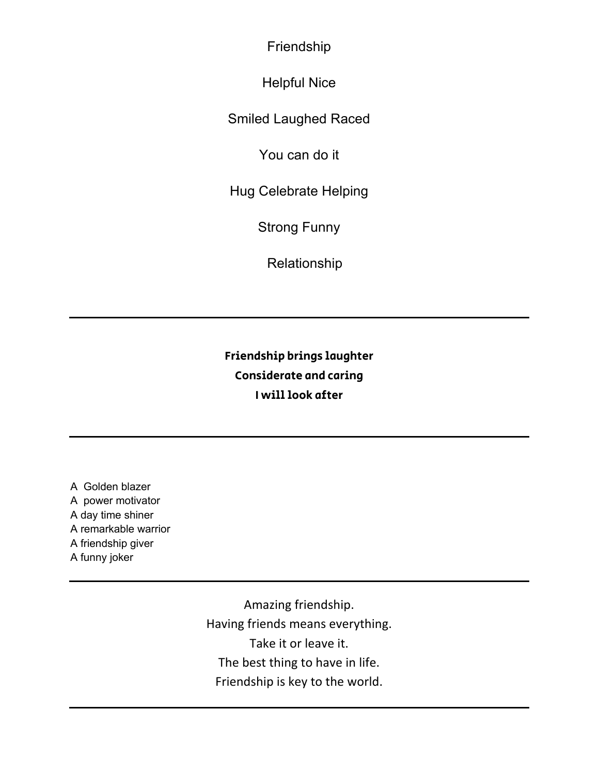Friendship

Helpful Nice

Smiled Laughed Raced

You can do it

Hug Celebrate Helping

Strong Funny

Relationship

Friendship brings laughter Considerate and caring I will look after

A Golden blazer A power motivator A day time shiner A remarkable warrior A friendship giver A funny joker

> Amazing friendship. Having friends means everything. Take it or leave it. The best thing to have in life. Friendship is key to the world.